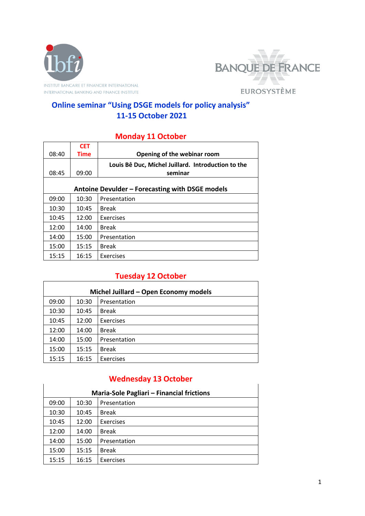



### **Online seminar "Using DSGE models for policy analysis" 11-15 October 2021**

#### **Monday 11 October**

|                                                 | <b>CET</b>  |                                                    |  |
|-------------------------------------------------|-------------|----------------------------------------------------|--|
| 08:40                                           | <b>Time</b> | Opening of the webinar room                        |  |
|                                                 |             | Louis Bê Duc, Michel Juillard. Introduction to the |  |
| 08:45                                           | 09:00       | seminar                                            |  |
|                                                 |             |                                                    |  |
| Antoine Devulder - Forecasting with DSGE models |             |                                                    |  |
| 09:00                                           | 10:30       | Presentation                                       |  |
| 10:30                                           | 10:45       | <b>Break</b>                                       |  |
| 10:45                                           | 12:00       | Exercises                                          |  |
| 12:00                                           | 14:00       | <b>Break</b>                                       |  |
| 14:00                                           | 15:00       | Presentation                                       |  |
| 15:00                                           | 15:15       | <b>Break</b>                                       |  |
| 15:15                                           | 16:15       | Exercises                                          |  |

### **Tuesday 12 October**

| Michel Juillard - Open Economy models |       |              |  |
|---------------------------------------|-------|--------------|--|
| 09:00                                 | 10:30 | Presentation |  |
| 10:30                                 | 10:45 | <b>Break</b> |  |
| 10:45                                 | 12:00 | Exercises    |  |
| 12:00                                 | 14:00 | <b>Break</b> |  |
| 14:00                                 | 15:00 | Presentation |  |
| 15:00                                 | 15:15 | <b>Break</b> |  |
| 15:15                                 | 16:15 | Exercises    |  |

### **Wednesday 13 October**

| Maria-Sole Pagliari - Financial frictions |       |                  |  |
|-------------------------------------------|-------|------------------|--|
| 09:00                                     | 10:30 | Presentation     |  |
| 10:30                                     | 10:45 | <b>Break</b>     |  |
| 10:45                                     | 12:00 | <b>Exercises</b> |  |
| 12:00                                     | 14:00 | <b>Break</b>     |  |
| 14:00                                     | 15:00 | Presentation     |  |
| 15:00                                     | 15:15 | <b>Break</b>     |  |
| 15:15                                     | 16:15 | Exercises        |  |